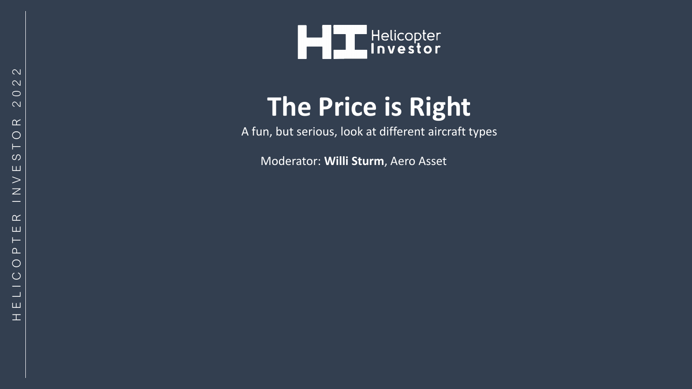

## **The Price is Right**

A fun, but serious, look at different aircraft types

Moderator: **Willi Sturm**, Aero Asset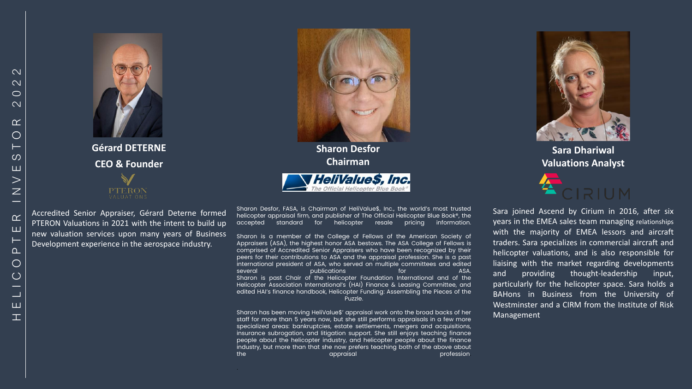

**Gérard DETERNE CEO & Founder**



Accredited Senior Appraiser, Gérard Deterne formed PTERON Valuations in 2021 with the intent to build up new valuation services upon many years of Business Development experience in the aerospace industry.

Sharon Desfor, FASA, is Chairman of HeliValue\$, Inc., the world's most trusted helicopter appraisal firm, and publisher of The Official Helicopter Blue Book®, the accepted standard for helicopter resale pricing information.

'HeliValue\$, Inc. Official Helicopter Blue Boo

**Sharon Desfor Chairman**

Sharon is a member of the College of Fellows of the American Society of Appraisers (ASA), the highest honor ASA bestows. The ASA College of Fellows is comprised of Accredited Senior Appraisers who have been recognized by their peers for their contributions to ASA and the appraisal profession. She is a past international president of ASA, who served on multiple committees and edited several publications for ASA. Sharon is past Chair of the Helicopter Foundation International and of the Helicopter Association International's (HAI) Finance & Leasing Committee, and edited HAI's finance handbook, Helicopter Funding: Assembling the Pieces of the Puzzle.

Sharon has been moving HeliValue\$' appraisal work onto the broad backs of her staff for more than 5 years now, but she still performs appraisals in a few more specialized areas: bankruptcies, estate settlements, mergers and acquisitions, insurance subrogation, and litigation support. She still enjoys teaching finance people about the helicopter industry, and helicopter people about the finance industry, but more than that she now prefers teaching both of the above about the approximation of the approximation of the profession.

.



**Sara Dhariwal Valuations Analyst** 



Sara joined Ascend by Cirium in 2016, after six years in the EMEA sales team managing relationships with the majority of EMEA lessors and aircraft traders. Sara specializes in commercial aircraft and helicopter valuations, and is also responsible for liaising with the market regarding developments and providing thought-leadership input, particularly for the helicopter space. Sara holds a BAHons in Business from the University of Westminster and a CIRM from the Institute of Risk Management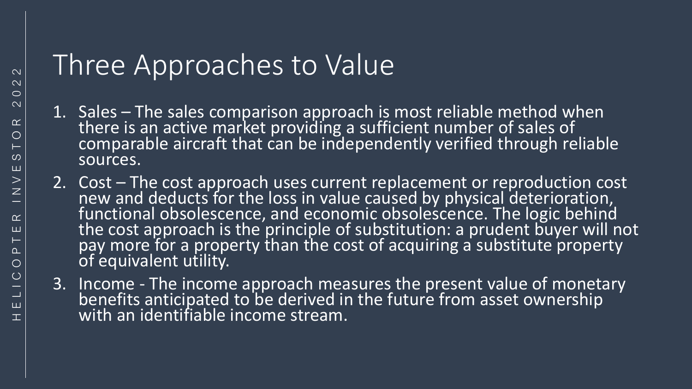## Three Approaches to Value

- 1. Sales The sales comparison approach is most reliable method when there is an active market providing a sufficient number of sales of comparable aircraft that can be independently verified through reliable sources.
- 2. Cost The cost approach uses current replacement or reproduction cost new and deducts for the loss in value caused by physical deterioration, functional obsolescence, and economic obsolescence. The logic behind the cost approach is the principle of substitution: a prudent buyer will not pay more for a property than the cost of acquiring a substitute property of equivalent utility.
- 3. Income The income approach measures the present value of monetary benefits anticipated to be derived in the future from asset ownership with an identifiable income stream.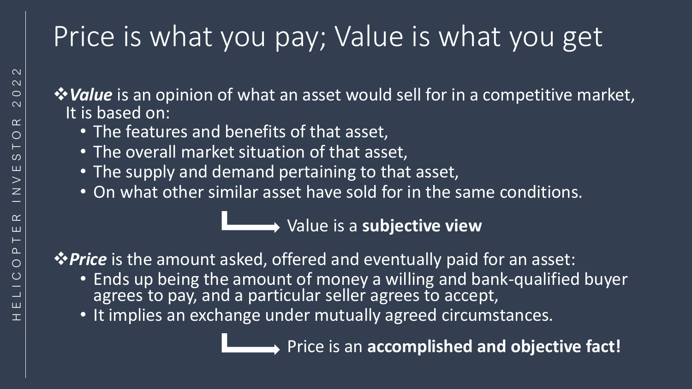## Price is what you pay; Value is what you get

❖*Value* is an opinion of what an asset would sell for in a competitive market, It is based on:

- The features and benefits of that asset,
- The overall market situation of that asset,
- The supply and demand pertaining to that asset,
- On what other similar asset have sold for in the same conditions.

Value is a **subjective view**

❖*Price* is the amount asked, offered and eventually paid for an asset:

- Ends up being the amount of money a willing and bank-qualified buyer agrees to pay, and a particular seller agrees to accept,
- It implies an exchange under mutually agreed circumstances.

Price is an **accomplished and objective fact!**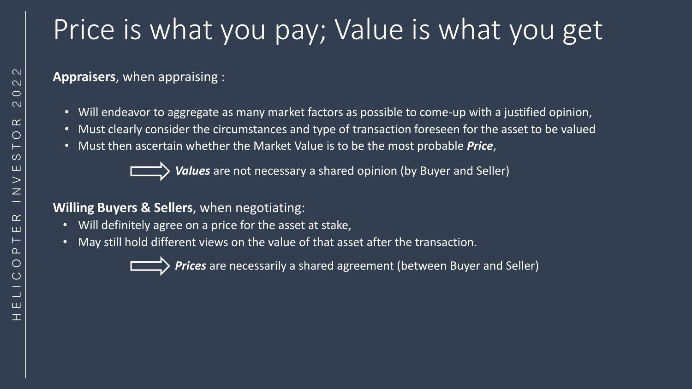## Price is what you pay; Value is what you get

**Appraisers**, when appraising :

- Will endeavor to aggregate as many market factors as possible to come-up with a justified opinion,
- Must clearly consider the circumstances and type of transaction foreseen for the asset to be valued
- Must then ascertain whether the Market Value is to be the most probable *Price*,

*Values* are not necessary a shared opinion (by Buyer and Seller)

#### **Willing Buyers & Sellers**, when negotiating:

- Will definitely agree on a price for the asset at stake,
- May still hold different views on the value of that asset after the transaction.

*Prices* are necessarily a shared agreement (between Buyer and Seller)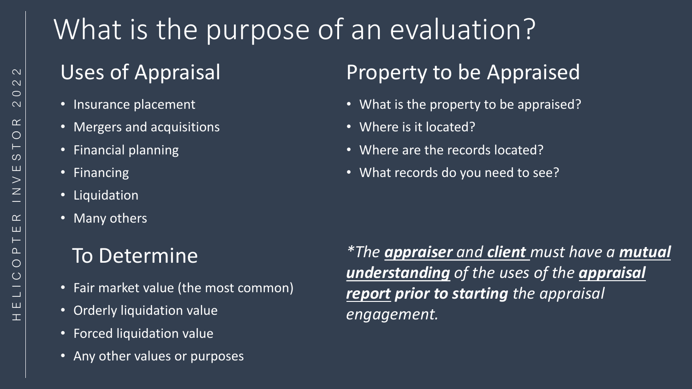#### H E L I C O P T E R I N V E S T O R 2 0 2 2  $\mathbf{\Omega}$  $\mathbf{\Omega}$  $\circ$  $\overline{\mathsf{C}}$  $\alpha$  $\bigcirc$  $\circ$ Щ  $>$  $\overline{z}$  $\alpha$ ш  $\Omega$  $\bigcirc$  $\bigcirc$ Ш

# What is the purpose of an evaluation?

## Uses of Appraisal

- Insurance placement
- Mergers and acquisitions
- Financial planning
- Financing
- Liquidation
- Many others

## To Determine

- Fair market value (the most common)
- Orderly liquidation value
- Forced liquidation value
- Any other values or purposes

## Property to be Appraised

- What is the property to be appraised?
- Where is it located?
- Where are the records located?
- What records do you need to see?

*\*The appraiser and client must have a mutual understanding of the uses of the appraisal report prior to starting the appraisal engagement.*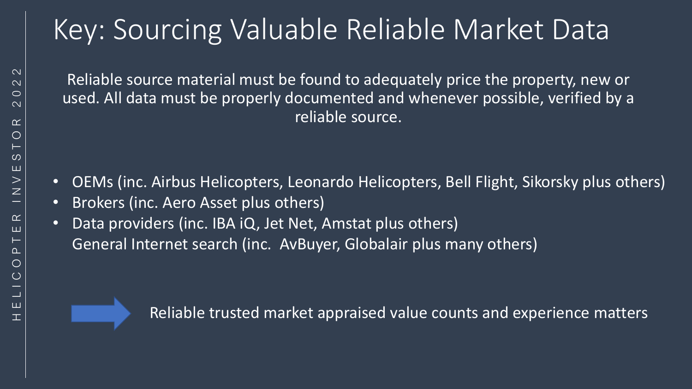## Key: Sourcing Valuable Reliable Market Data

Reliable source material must be found to adequately price the property, new or used. All data must be properly documented and whenever possible, verified by a reliable source.

- OEMs (inc. Airbus Helicopters, Leonardo Helicopters, Bell Flight, Sikorsky plus others)
- Brokers (inc. Aero Asset plus others)
- Data providers (inc. IBA iQ, Jet Net, Amstat plus others) General Internet search (inc. AvBuyer, Globalair plus many others)



Reliable trusted market appraised value counts and experience matters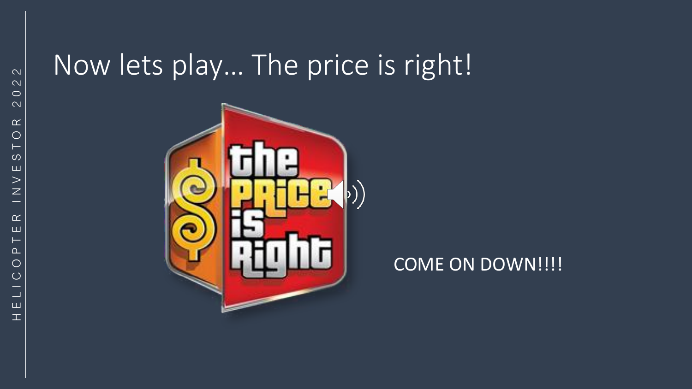## Now lets play… The price is right!



#### COME ON DOWN!!!!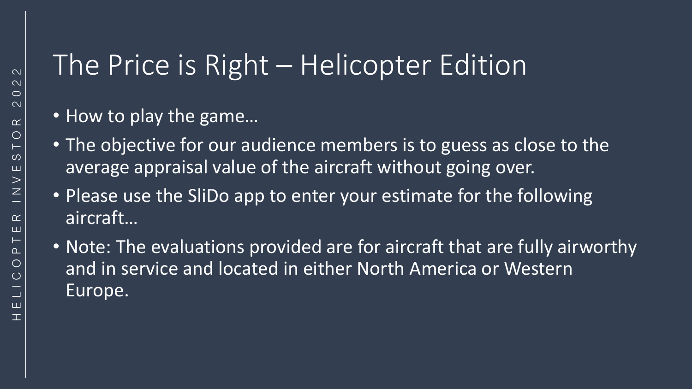## The Price is Right – Helicopter Edition

- How to play the game...
- The objective for our audience members is to guess as close to the average appraisal value of the aircraft without going over.
- Please use the SliDo app to enter your estimate for the following aircraft…
- Note: The evaluations provided are for aircraft that are fully airworthy and in service and located in either North America or Western Europe.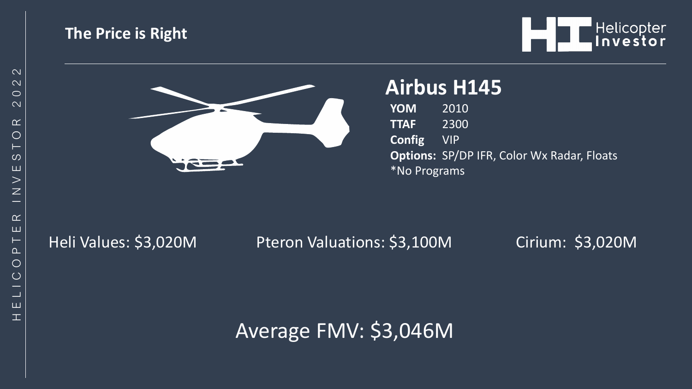#### **The Price is Right**





### **Airbus H145**

**YOM** 2010 **TTAF** 2300 **Config** VIP **Options:** SP/DP IFR, Color Wx Radar, Floats \*No Programs

Heli Values: \$3,020M Pteron Valuations: \$3,100M Cirium: \$3,020M

Average FMV: \$3,046M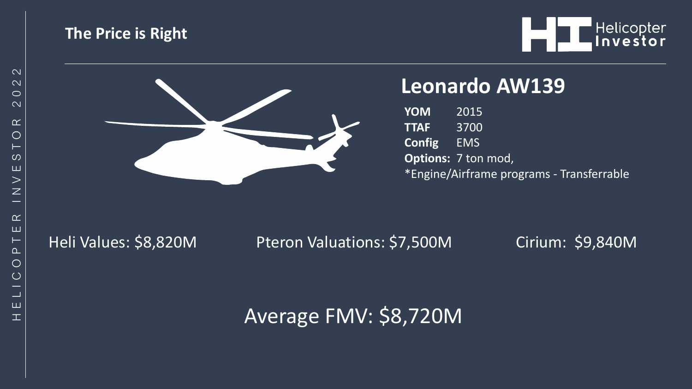



#### **Leonardo AW139**

**YOM** 2015 **TTAF** 3700 **Config** EMS **Options:** 7 ton mod, \*Engine/Airframe programs - Transferrable

Heli Values: \$8,820M Pteron Valuations: \$7,500M Cirium: \$9,840M

### Average FMV: \$8,720M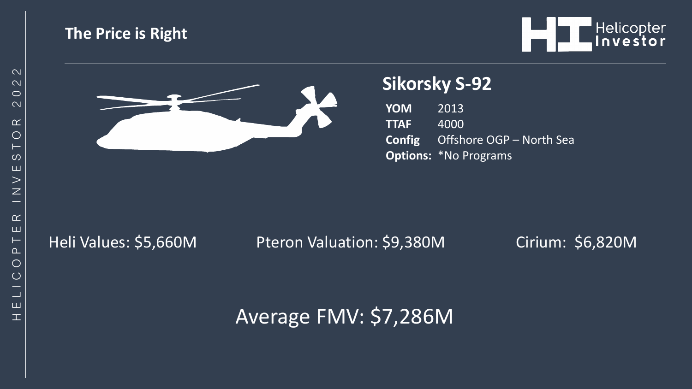#### **The Price is Right**



 $\mathbf{T}$ 



#### **Sikorsky S-92**

**YOM** 2013 **TTAF** 4000 **Config** Offshore OGP – North Sea **Options:** \*No Programs

Heli Values: \$5,660M Pteron Valuation: \$9,380M Cirium: \$6,820M

### Average FMV: \$7,286M